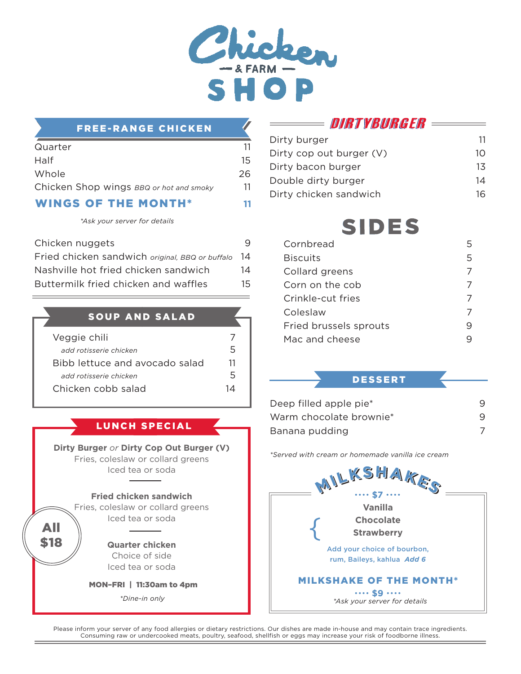

#### FREE-RANGE CHICKEN

| Quarter                                 | 11 |
|-----------------------------------------|----|
| Half                                    | 15 |
| Whole                                   | 26 |
| Chicken Shop wings BBQ or hot and smoky | 11 |
| <b>WINGS OF THE MONTH*</b>              |    |

*\*Ask your server for details*

| Chicken nuggets                                 |     |
|-------------------------------------------------|-----|
| Fried chicken sandwich original, BBQ or buffalo | 14  |
| Nashville hot fried chicken sandwich            | 14  |
| Buttermilk fried chicken and waffles            | 15. |

SOUP AND SALAD

| Veggie chili                   |    |
|--------------------------------|----|
| add rotisserie chicken         | ∽  |
| Bibb lettuce and avocado salad | 11 |
| add rotisserie chicken         | ∽  |
| Chicken cobb salad             | 1Δ |

LUNCH SPECIAL

**Dirty Burger** *or* **Dirty Cop Out Burger (V)** Fries, coleslaw or collard greens Iced tea or soda

#### **Fried chicken sandwich**

Fries, coleslaw or collard greens Iced tea or soda

All \$18

**Quarter chicken** Choice of side Iced tea or soda

MON–FRI | 11:30am to 4pm

DIRTYBURGER =

| Dirty burger             | 11 |
|--------------------------|----|
| Dirty cop out burger (V) | 10 |
| Dirty bacon burger       | 13 |
| Double dirty burger      | 14 |
| Dirty chicken sandwich   |    |

# **SIDES**

| Cornbread              | 5 |
|------------------------|---|
| <b>Biscuits</b>        | 5 |
| Collard greens         |   |
| Corn on the cob        |   |
| Crinkle-cut fries      |   |
| Coleslaw               |   |
| Fried brussels sprouts |   |
| Mac and cheese         |   |

#### DESSERT

| Deep filled apple pie <sup>*</sup> |   |
|------------------------------------|---|
| Warm chocolate brownie*            | 9 |
| Banana pudding                     |   |

*\*Served with cream or homemade vanilla ice cream*

| ed tea or soda                                               | MILKSHAKES                                                                     |
|--------------------------------------------------------------|--------------------------------------------------------------------------------|
| chicken sandwich<br>slaw or collard greens<br>ed tea or soda | Vanilla<br><b>Chocolate</b>                                                    |
| uarter chicken<br>Choice of side<br>ed tea or soda           | <b>Strawberry</b><br>Add your choice of bourbon,<br>rum, Baileys, kahlua Add 6 |
| RI   11:30am to 4pm<br>*Dine-in only                         | <b>MILKSHAKE OF THE MONTH*</b><br>\$9<br>*Ask your server for details          |

Please inform your server of any food allergies or dietary restrictions. Our dishes are made in-house and may contain trace ingredients. Consuming raw or undercooked meats, poultry, seafood, shellfish or eggs may increase your risk of foodborne illness.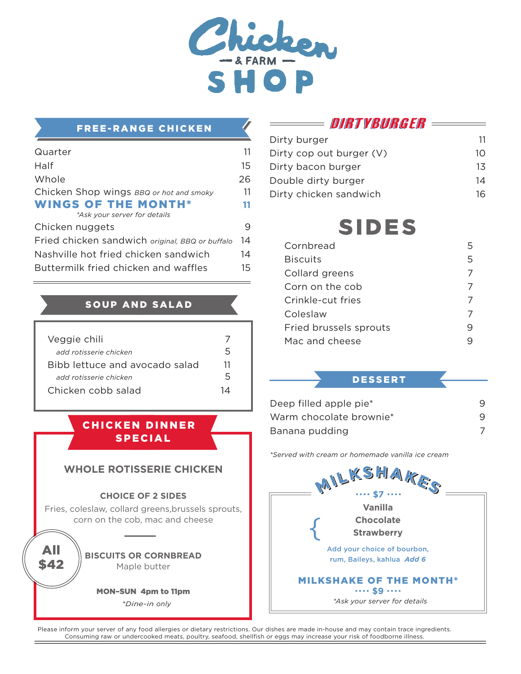

#### FREE-RANGE CHICKEN

| Quarter                                         | 11 |
|-------------------------------------------------|----|
| Half                                            | 15 |
| Whole                                           | 26 |
| Chicken Shop wings BBQ or hot and smoky         | 11 |
| <b>WINGS OF THE MONTH*</b>                      | 11 |
| *Ask your server for details                    |    |
| Chicken nuggets                                 |    |
| Fried chicken sandwich original, BBQ or buffalo | 14 |
| Nashville hot fried chicken sandwich            | 14 |
| Buttermilk fried chicken and waffles            | 15 |

#### SOUP AND SALAD

| Veggie chili                   |    |
|--------------------------------|----|
| add rotisserie chicken         | 5  |
| Bibb lettuce and avocado salad | 11 |
| add rotisserie chicken         | 5  |
| Chicken cobb salad             | 1Δ |

**CHICKEN DINNER** SPECIAL

## **WHOLE ROTISSERIE CHICKEN**

#### **CHOICE OF 2 SIDES**

Fries, coleslaw, collard greens,brussels sprouts, corn on the cob, mac and cheese

> **BISCUITS OR CORNBREAD**  Maple butter

All \$42

MON–SUN 4pm to 11pm

 $*Dine-in$  only

# DIRTYBURGER =

| Dirty burger             | 11 |
|--------------------------|----|
| Dirty cop out burger (V) | 10 |
| Dirty bacon burger       | 13 |
| Double dirty burger      | 14 |
| Dirty chicken sandwich   |    |

# **SIDES**

| Cornbread              |   |
|------------------------|---|
| <b>Biscuits</b>        | 5 |
| Collard greens         |   |
| Corn on the cob        |   |
| Crinkle-cut fries      |   |
| Coleslaw               |   |
| Fried brussels sprouts |   |
| Mac and cheese         |   |

#### DESSERT

| Deep filled apple pie <sup>*</sup> |   |
|------------------------------------|---|
| Warm chocolate brownie*            | 9 |
| Banana pudding                     |   |

*\*Served with cream or homemade vanilla ice cream*

| MILKSHAKES                             |  |  |
|----------------------------------------|--|--|
| S7                                     |  |  |
| Vanilla                                |  |  |
| Chocolate                              |  |  |
| <b>Strawberry</b>                      |  |  |
| Add your choice of bourbon,            |  |  |
| rum, Baileys, kahlua Add 6             |  |  |
| <b>MILKSHAKE OF THE MONTH*</b><br>. 59 |  |  |
| *Ask vour server for details           |  |  |

Please inform your server of any food allergies or dietary restrictions. Our dishes are made in-house and may contain trace ingredients. Consuming raw or undercooked meats, poultry, seafood, shellfish or eggs may increase your risk of foodborne illness.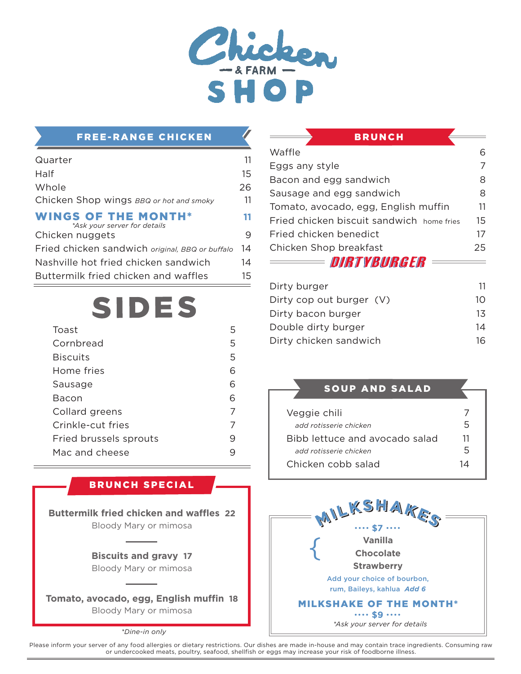

## FREE-RANGE CHICKEN

| Quarter                                                    | 11 |
|------------------------------------------------------------|----|
| Half                                                       | 15 |
| Whole                                                      | 26 |
| Chicken Shop wings BBQ or hot and smoky                    | 11 |
| <b>WINGS OF THE MONTH*</b><br>*Ask your server for details | 11 |
| Chicken nuggets                                            | 9  |
| Fried chicken sandwich original, BBQ or buffalo            | 14 |
| Nashville hot fried chicken sandwich                       | 14 |
| Buttermilk fried chicken and waffles                       | 15 |

# **SIDES**

| Toast                  | 5 |
|------------------------|---|
| Cornbread              | 5 |
| <b>Biscuits</b>        | 5 |
| Home fries             | ൳ |
| Sausage                | ൳ |
| Bacon                  | ൳ |
| Collard greens         | 7 |
| Crinkle-cut fries      | 7 |
| Fried brussels sprouts | q |
| Mac and cheese         |   |

## BRUNCH SPECIAL

**Buttermilk fried chicken and waffles 22** Bloody Mary or mimosa

> **Biscuits and gravy 17** Bloody Mary or mimosa

**Tomato, avocado, egg, English muffin 18** Bloody Mary or mimosa

 *\*Dine-in only*

| <b>BRUNCH</b>                             |    |
|-------------------------------------------|----|
| Waffle                                    | 6  |
| Eggs any style                            | 7  |
| Bacon and egg sandwich                    | 8  |
| Sausage and egg sandwich                  | 8  |
| Tomato, avocado, egg, English muffin      | 11 |
| Fried chicken biscuit sandwich home fries | 15 |
| Fried chicken benedict                    | 17 |
| Chicken Shop breakfast                    | 25 |
| <b>In the State of the Colombia</b>       |    |

DIMI YBUMGEM

| Dirty burger             | 11 |
|--------------------------|----|
| Dirty cop out burger (V) | 10 |
| Dirty bacon burger       | 13 |
| Double dirty burger      | 14 |
| Dirty chicken sandwich   | 16 |

#### SOUP AND SALAD

| Veggie chili                   |    |
|--------------------------------|----|
| add rotisserie chicken         | ↳  |
| Bibb lettuce and avocado salad | 11 |
| add rotisserie chicken         | 5  |
| Chicken cobb salad             | 1Δ |
|                                |    |



Please inform your server of any food allergies or dietary restrictions. Our dishes are made in-house and may contain trace ingredients. Consuming raw or undercooked meats, poultry, seafood, shellfish or eggs may increase your risk of foodborne illness.